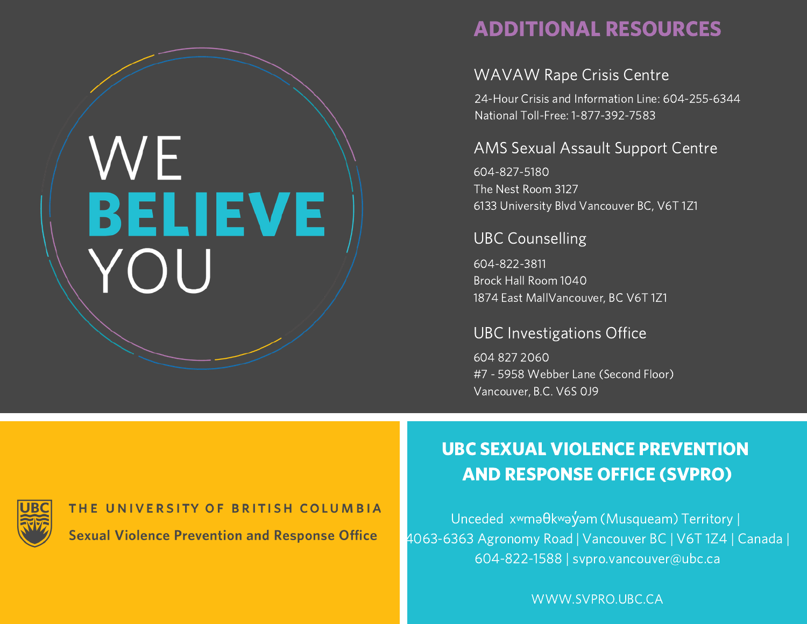# WE BELIEVE YOU

## ADDITIONAL RESOURCES

#### WAVAW Rape Crisis Centre

24-Hour Crisis and Information Line: 604-255-6344 National Toll-Free: 1-877-392-7583

#### AMS Sexual Assault Support Centre

604-827-5180 The Nest Room 3127 6133 University Blvd Vancouver BC, V6T 1Z1

#### UBC Counselling

604-822-3811 Brock Hall Room 1040 1874 East MallVancouver, BC V6T 1Z1

#### UBC Investigations Office

604 827 2060 #7 - 5958 Webber Lane (Second Floor) Vancouver, B.C. V6S 0J9

THE UNIVERSITY OF BRITISH COLUMBIA **Sexual Violence Prevention and Response Office** 

# UBC SEXUAL VIOLENCE PREVENTION AND RESPONSE OFFICE (SVPRO)

Unceded xʷməθkʷəy̓əm (Musqueam) Territory | 4063-6363 Agronomy Road | Vancouver BC | V6T 1Z4 | Canada | 604-822-1588 | svpro.vancouver@ubc.ca

WWW.SVPRO.UBC.CA